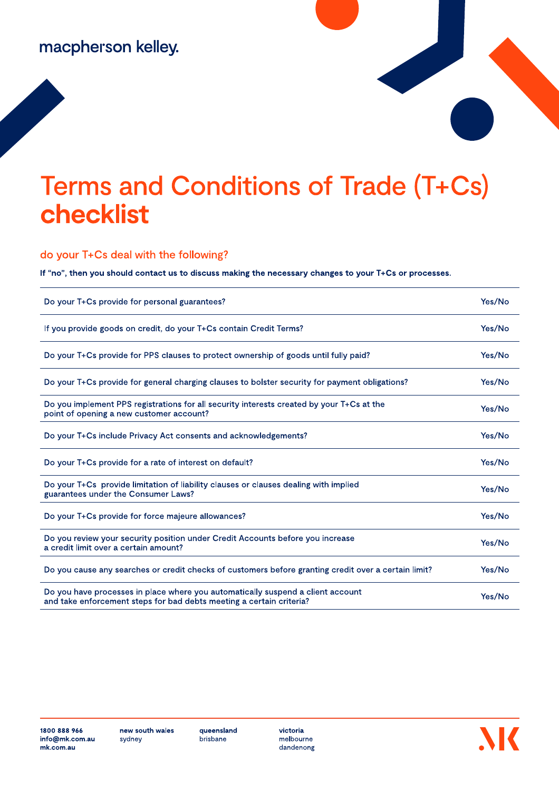## macpherson kelley.

## **Terms and Conditions of Trade (T+Cs)** checklist

do your T+Cs deal with the following?

If "no", then you should contact us to discuss making the necessary changes to your T+Cs or processes.

| Do your T+Cs provide for personal guarantees?                                                                                                           | Yes/No |
|---------------------------------------------------------------------------------------------------------------------------------------------------------|--------|
| If you provide goods on credit, do your T+Cs contain Credit Terms?                                                                                      | Yes/No |
| Do your T+Cs provide for PPS clauses to protect ownership of goods until fully paid?                                                                    | Yes/No |
| Do your T+Cs provide for general charging clauses to bolster security for payment obligations?                                                          | Yes/No |
| Do you implement PPS registrations for all security interests created by your T+Cs at the<br>point of opening a new customer account?                   | Yes/No |
| Do your T+Cs include Privacy Act consents and acknowledgements?                                                                                         | Yes/No |
| Do your T+Cs provide for a rate of interest on default?                                                                                                 | Yes/No |
| Do your T+Cs provide limitation of liability clauses or clauses dealing with implied<br>guarantees under the Consumer Laws?                             | Yes/No |
| Do your T+Cs provide for force majeure allowances?                                                                                                      | Yes/No |
| Do you review your security position under Credit Accounts before you increase<br>a credit limit over a certain amount?                                 | Yes/No |
| Do you cause any searches or credit checks of customers before granting credit over a certain limit?                                                    | Yes/No |
| Do you have processes in place where you automatically suspend a client account<br>and take enforcement steps for bad debts meeting a certain criteria? | Yes/No |

queensland brisbane

victoria melbourne dandenong